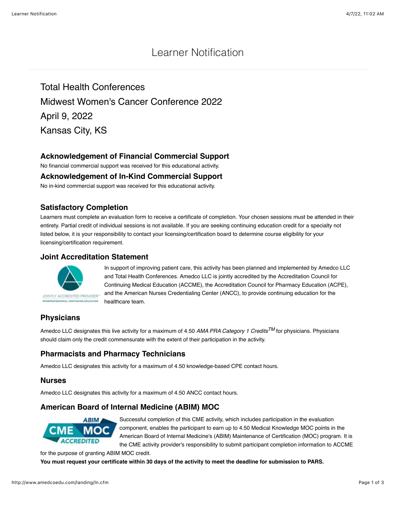# Learner Notification

Total Health Conferences Midwest Women's Cancer Conference 2022 April 9, 2022 Kansas City, KS

## **Acknowledgement of Financial Commercial Support**

No financial commercial support was received for this educational activity.

#### **Acknowledgement of In-Kind Commercial Support**

No in-kind commercial support was received for this educational activity.

### **Satisfactory Completion**

Learners must complete an evaluation form to receive a certificate of completion. Your chosen sessions must be attended in their entirety. Partial credit of individual sessions is not available. If you are seeking continuing education credit for a specialty not listed below, it is your responsibility to contact your licensing/certification board to determine course eligibility for your licensing/certification requirement.

### **Joint Accreditation Statement**



In support of improving patient care, this activity has been planned and implemented by Amedco LLC and Total Health Conferences. Amedco LLC is jointly accredited by the Accreditation Council for Continuing Medical Education (ACCME), the Accreditation Council for Pharmacy Education (ACPE), and the American Nurses Credentialing Center (ANCC), to provide continuing education for the healthcare team.

# **Physicians**

Amedco LLC designates this live activity for a maximum of 4.50 *AMA PRA Category 1 CreditsTM* for physicians. Physicians should claim only the credit commensurate with the extent of their participation in the activity.

# **Pharmacists and Pharmacy Technicians**

Amedco LLC designates this activity for a maximum of 4.50 knowledge-based CPE contact hours.

#### **Nurses**

Amedco LLC designates this activity for a maximum of 4.50 ANCC contact hours.

## **American Board of Internal Medicine (ABIM) MOC**



Successful completion of this CME activity, which includes participation in the evaluation component, enables the participant to earn up to 4.50 Medical Knowledge MOC points in the American Board of Internal Medicine's (ABIM) Maintenance of Certification (MOC) program. It is the CME activity provider's responsibility to submit participant completion information to ACCME

for the purpose of granting ABIM MOC credit.

**You must request your certificate within 30 days of the activity to meet the deadline for submission to PARS.**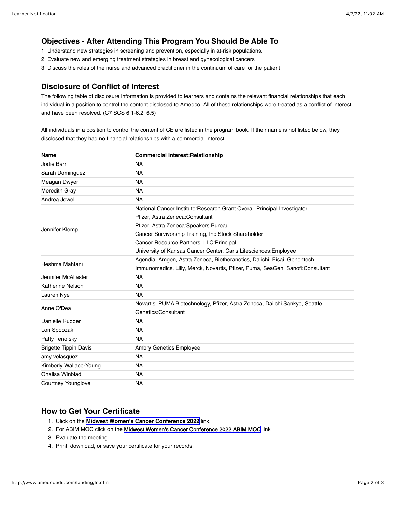## **Objectives - After Attending This Program You Should Be Able To**

- 1. Understand new strategies in screening and prevention, especially in at-risk populations.
- 2. Evaluate new and emerging treatment strategies in breast and gynecological cancers
- 3. Discuss the roles of the nurse and advanced practitioner in the continuum of care for the patient

### **Disclosure of Conflict of Interest**

The following table of disclosure information is provided to learners and contains the relevant financial relationships that each individual in a position to control the content disclosed to Amedco. All of these relationships were treated as a conflict of interest, and have been resolved. (C7 SCS 6.1-6.2, 6.5)

All individuals in a position to control the content of CE are listed in the program book. If their name is not listed below, they disclosed that they had no financial relationships with a commercial interest.

| <b>Name</b>                  | <b>Commercial Interest: Relationship</b>                                      |
|------------------------------|-------------------------------------------------------------------------------|
| Jodie Barr                   | <b>NA</b>                                                                     |
| Sarah Dominguez              | <b>NA</b>                                                                     |
| Meagan Dwyer                 | <b>NA</b>                                                                     |
| Meredith Gray                | <b>NA</b>                                                                     |
| Andrea Jewell                | <b>NA</b>                                                                     |
| Jennifer Klemp               | National Cancer Institute: Research Grant Overall Principal Investigator      |
|                              | Pfizer, Astra Zeneca: Consultant                                              |
|                              | Pfizer, Astra Zeneca: Speakers Bureau                                         |
|                              | Cancer Survivorship Training, Inc:Stock Shareholder                           |
|                              | Cancer Resource Partners, LLC: Principal                                      |
|                              | University of Kansas Cancer Center, Caris Lifesciences: Employee              |
| Reshma Mahtani               | Agendia, Amgen, Astra Zeneca, Biotheranotics, Daiichi, Eisai, Genentech,      |
|                              | Immunomedics, Lilly, Merck, Novartis, Pfizer, Puma, SeaGen, Sanofi:Consultant |
| Jennifer McAllaster          | <b>NA</b>                                                                     |
| <b>Katherine Nelson</b>      | <b>NA</b>                                                                     |
| Lauren Nye                   | <b>NA</b>                                                                     |
| Anne O'Dea                   | Novartis, PUMA Biotechnology, Pfizer, Astra Zeneca, Daiichi Sankyo, Seattle   |
|                              | Genetics:Consultant                                                           |
| Danielle Rudder              | <b>NA</b>                                                                     |
| Lori Spoozak                 | <b>NA</b>                                                                     |
| Patty Tenofsky               | <b>NA</b>                                                                     |
| <b>Brigette Tippin Davis</b> | Ambry Genetics: Employee                                                      |
| amy velasquez                | <b>NA</b>                                                                     |
| Kimberly Wallace-Young       | NA.                                                                           |
| Onalisa Winblad              | <b>NA</b>                                                                     |
| Courtney Younglove           | <b>NA</b>                                                                     |

## **How to Get Your Certificate**

- 1. Click on the **[Midwest Women's Cancer Conference 2022](http://workshop-evaluator.herokuapp.com/evaluation/10556)** link.
- 2. For ABIM MOC click on the [Midwest Women's Cancer Conference 2022 ABIM MOC](http://amedcoedu.com/esystems/quiz/quiz.cfm?QuizNum=3801) link
- 3. Evaluate the meeting.
- 4. Print, download, or save your certificate for your records.